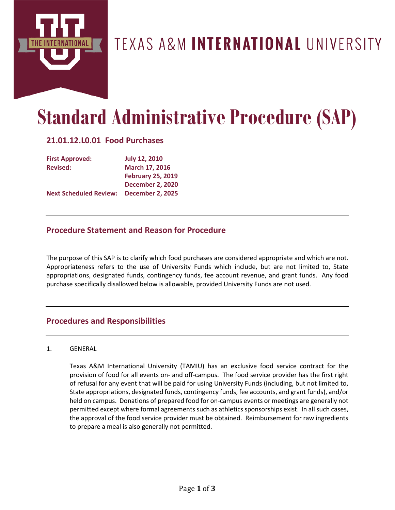

# TEXAS A&M INTERNATIONAL UNIVERSITY

# **Standard Administrative Procedure (SAP)**

# **21.01.12.L0.01 Food Purchases**

| <b>First Approved:</b>        | <b>July 12, 2010</b>     |
|-------------------------------|--------------------------|
| <b>Revised:</b>               | March 17, 2016           |
|                               | <b>February 25, 2019</b> |
|                               | <b>December 2, 2020</b>  |
| <b>Next Scheduled Review:</b> | <b>December 2, 2025</b>  |

# **Procedure Statement and Reason for Procedure**

The purpose of this SAP is to clarify which food purchases are considered appropriate and which are not. Appropriateness refers to the use of University Funds which include, but are not limited to, State appropriations, designated funds, contingency funds, fee account revenue, and grant funds. Any food purchase specifically disallowed below is allowable, provided University Funds are not used.

# **Procedures and Responsibilities**

#### 1. GENERAL

Texas A&M International University (TAMIU) has an exclusive food service contract for the provision of food for all events on- and off-campus. The food service provider has the first right of refusal for any event that will be paid for using University Funds (including, but not limited to, State appropriations, designated funds, contingency funds, fee accounts, and grant funds), and/or held on campus. Donations of prepared food for on-campus events or meetings are generally not permitted except where formal agreements such as athletics sponsorships exist. In all such cases, the approval of the food service provider must be obtained. Reimbursement for raw ingredients to prepare a meal is also generally not permitted.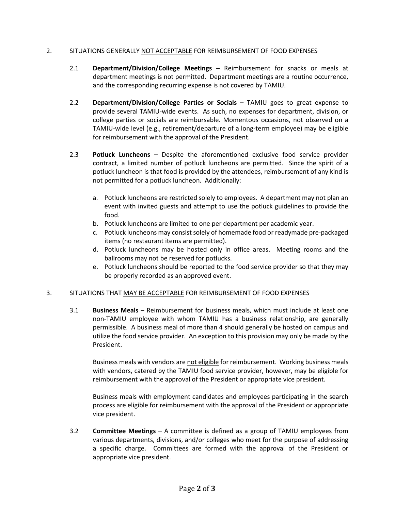#### 2. SITUATIONS GENERALLY NOT ACCEPTABLE FOR REIMBURSEMENT OF FOOD EXPENSES

- 2.1 **Department/Division/College Meetings** Reimbursement for snacks or meals at department meetings is not permitted. Department meetings are a routine occurrence, and the corresponding recurring expense is not covered by TAMIU.
- 2.2 **Department/Division/College Parties or Socials** TAMIU goes to great expense to provide several TAMIU-wide events. As such, no expenses for department, division, or college parties or socials are reimbursable. Momentous occasions, not observed on a TAMIU-wide level (e.g., retirement/departure of a long-term employee) may be eligible for reimbursement with the approval of the President.
- 2.3 **Potluck Luncheons** Despite the aforementioned exclusive food service provider contract, a limited number of potluck luncheons are permitted. Since the spirit of a potluck luncheon is that food is provided by the attendees, reimbursement of any kind is not permitted for a potluck luncheon. Additionally:
	- a. Potluck luncheons are restricted solely to employees. A department may not plan an event with invited guests and attempt to use the potluck guidelines to provide the food.
	- b. Potluck luncheons are limited to one per department per academic year.
	- c. Potluck luncheons may consist solely of homemade food or readymade pre-packaged items (no restaurant items are permitted).
	- d. Potluck luncheons may be hosted only in office areas. Meeting rooms and the ballrooms may not be reserved for potlucks.
	- e. Potluck luncheons should be reported to the food service provider so that they may be properly recorded as an approved event.

#### 3. SITUATIONS THAT MAY BE ACCEPTABLE FOR REIMBURSEMENT OF FOOD EXPENSES

3.1 **Business Meals** – Reimbursement for business meals, which must include at least one non-TAMIU employee with whom TAMIU has a business relationship, are generally permissible. A business meal of more than 4 should generally be hosted on campus and utilize the food service provider. An exception to this provision may only be made by the President.

Business meals with vendors are not eligible for reimbursement. Working business meals with vendors, catered by the TAMIU food service provider, however, may be eligible for reimbursement with the approval of the President or appropriate vice president.

Business meals with employment candidates and employees participating in the search process are eligible for reimbursement with the approval of the President or appropriate vice president.

3.2 **Committee Meetings** – A committee is defined as a group of TAMIU employees from various departments, divisions, and/or colleges who meet for the purpose of addressing a specific charge. Committees are formed with the approval of the President or appropriate vice president.